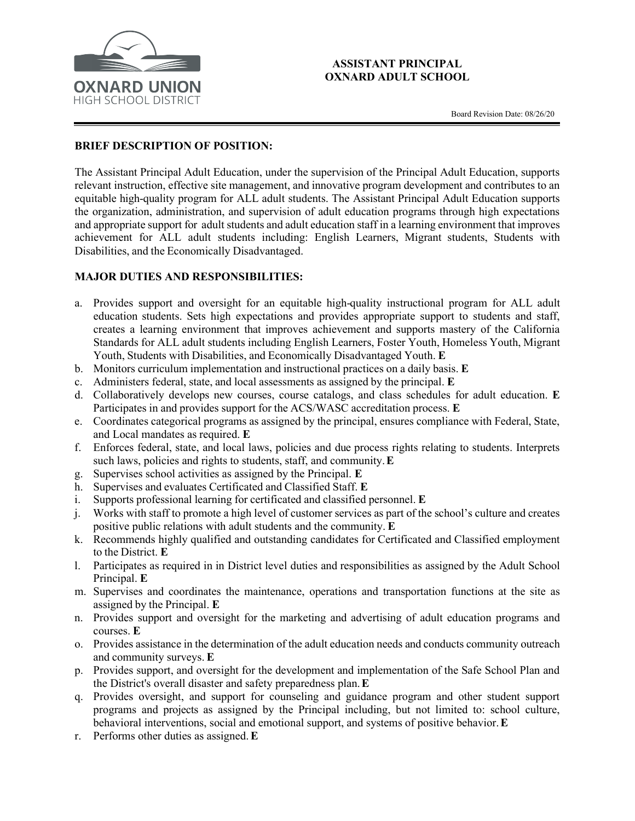

#### **ASSISTANT PRINCIPAL OXNARD ADULT SCHOOL**

#### **BRIEF DESCRIPTION OF POSITION:**

The Assistant Principal Adult Education, under the supervision of the Principal Adult Education, supports relevant instruction, effective site management, and innovative program development and contributes to an equitable high-quality program for ALL adult students. The Assistant Principal Adult Education supports the organization, administration, and supervision of adult education programs through high expectations and appropriate support for adult students and adult education staff in a learning environment that improves achievement for ALL adult students including: English Learners, Migrant students, Students with Disabilities, and the Economically Disadvantaged.

### **MAJOR DUTIES AND RESPONSIBILITIES:**

- a. Provides support and oversight for an equitable high-quality instructional program for ALL adult education students. Sets high expectations and provides appropriate support to students and staff, creates a learning environment that improves achievement and supports mastery of the California Standards for ALL adult students including English Learners, Foster Youth, Homeless Youth, Migrant Youth, Students with Disabilities, and Economically Disadvantaged Youth. **E**
- b. Monitors curriculum implementation and instructional practices on a daily basis. **E**
- c. Administers federal, state, and local assessments as assigned by the principal. **E**
- d. Collaboratively develops new courses, course catalogs, and class schedules for adult education. **E** Participates in and provides support for the ACS/WASC accreditation process. **E**
- e. Coordinates categorical programs as assigned by the principal, ensures compliance with Federal, State, and Local mandates as required. **E**
- f. Enforces federal, state, and local laws, policies and due process rights relating to students. Interprets such laws, policies and rights to students, staff, and community.**E**
- g. Supervises school activities as assigned by the Principal. **E**
- h. Supervises and evaluates Certificated and Classified Staff. **E**
- i. Supports professional learning for certificated and classified personnel. **E**
- j. Works with staff to promote a high level of customer services as part of the school's culture and creates positive public relations with adult students and the community. **E**
- k. Recommends highly qualified and outstanding candidates for Certificated and Classified employment to the District. **E**
- l. Participates as required in in District level duties and responsibilities as assigned by the Adult School Principal. **E**
- m. Supervises and coordinates the maintenance, operations and transportation functions at the site as assigned by the Principal. **E**
- n. Provides support and oversight for the marketing and advertising of adult education programs and courses. **E**
- o. Provides assistance in the determination of the adult education needs and conducts community outreach and community surveys. **E**
- p. Provides support, and oversight for the development and implementation of the Safe School Plan and the District's overall disaster and safety preparedness plan.**E**
- q. Provides oversight, and support for counseling and guidance program and other student support programs and projects as assigned by the Principal including, but not limited to: school culture, behavioral interventions, social and emotional support, and systems of positive behavior.**E**
- r. Performs other duties as assigned.**E**